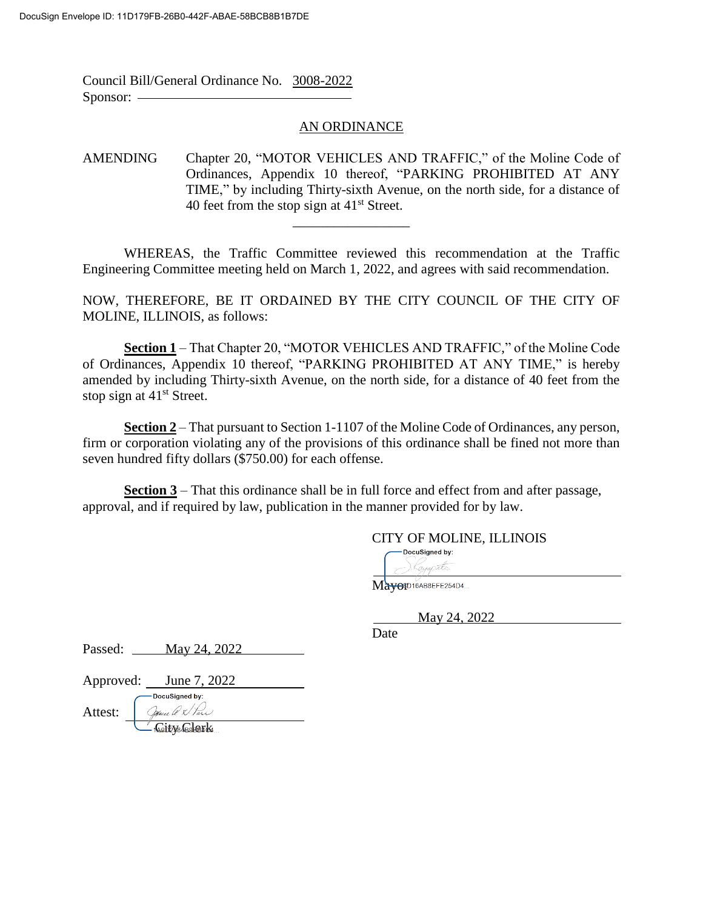Council Bill/General Ordinance No. 3008-2022 Sponsor:  $-$ 

## AN ORDINANCE

AMENDING Chapter 20, "MOTOR VEHICLES AND TRAFFIC," of the Moline Code of Ordinances, Appendix 10 thereof, "PARKING PROHIBITED AT ANY TIME," by including Thirty-sixth Avenue, on the north side, for a distance of 40 feet from the stop sign at  $41<sup>st</sup>$  Street.

WHEREAS, the Traffic Committee reviewed this recommendation at the Traffic Engineering Committee meeting held on March 1, 2022, and agrees with said recommendation.

\_\_\_\_\_\_\_\_\_\_\_\_\_\_\_\_\_

NOW, THEREFORE, BE IT ORDAINED BY THE CITY COUNCIL OF THE CITY OF MOLINE, ILLINOIS, as follows:

**Section 1** – That Chapter 20, "MOTOR VEHICLES AND TRAFFIC," of the Moline Code of Ordinances, Appendix 10 thereof, "PARKING PROHIBITED AT ANY TIME," is hereby amended by including Thirty-sixth Avenue, on the north side, for a distance of 40 feet from the stop sign at  $41<sup>st</sup>$  Street.

**Section 2** – That pursuant to Section 1-1107 of the Moline Code of Ordinances, any person, firm or corporation violating any of the provisions of this ordinance shall be fined not more than seven hundred fifty dollars (\$750.00) for each offense.

**Section 3** – That this ordinance shall be in full force and effect from and after passage, approval, and if required by law, publication in the manner provided for by law.

## CITY OF MOLINE, ILLINOIS

DocuSigned by: .Kayap<del>ets</del>

Mayor016AB8EFE254D4...

May 24, 2022

Date

Passed: <u>May 24, 2022</u>

Approved: June 7, 2022

-DocuSigned by: Jouie *le X Van*<br>Gite Solenards Attest: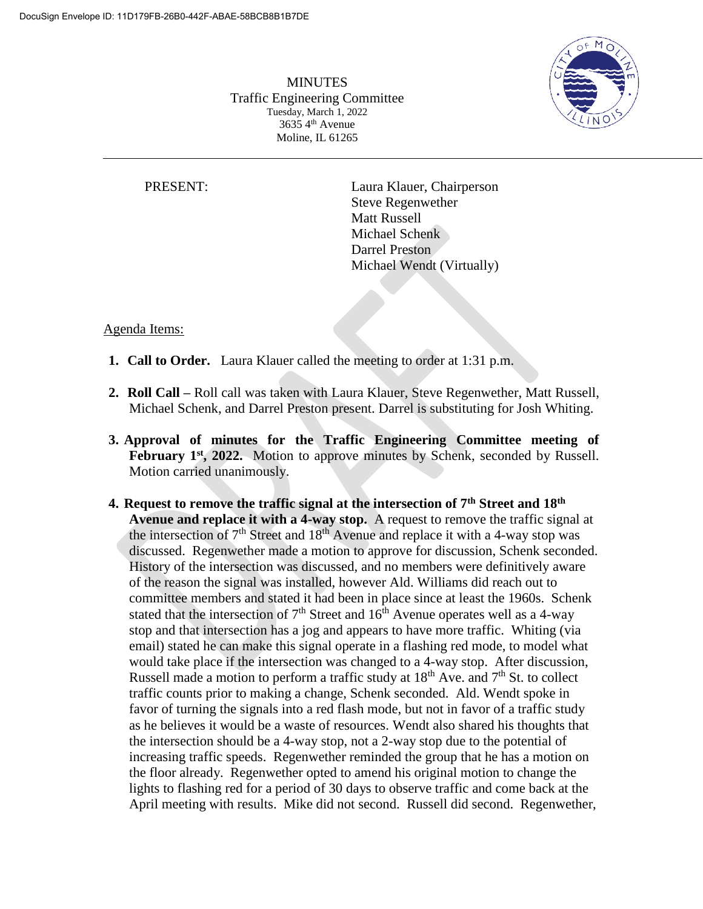

**MINUTES** Traffic Engineering Committee Tuesday, March 1, 2022  $3635\,4<sup>th</sup>$  Avenue Moline, IL 61265

PRESENT: Laura Klauer, Chairperson Steve Regenwether Matt Russell Michael Schenk Darrel Preston Michael Wendt (Virtually)

## Agenda Items:

- **1. Call to Order.** Laura Klauer called the meeting to order at 1:31 p.m.
- **2. Roll Call –** Roll call was taken with Laura Klauer, Steve Regenwether, Matt Russell, Michael Schenk, and Darrel Preston present. Darrel is substituting for Josh Whiting.
- **3. Approval of minutes for the Traffic Engineering Committee meeting of February 1<sup>st</sup>, 2022.** Motion to approve minutes by Schenk, seconded by Russell. Motion carried unanimously.
- **4. Request to remove the traffic signal at the intersection of 7th Street and 18th Avenue and replace it with a 4-way stop.** A request to remove the traffic signal at the intersection of  $7<sup>th</sup>$  Street and  $18<sup>th</sup>$  Avenue and replace it with a 4-way stop was discussed. Regenwether made a motion to approve for discussion, Schenk seconded. History of the intersection was discussed, and no members were definitively aware of the reason the signal was installed, however Ald. Williams did reach out to committee members and stated it had been in place since at least the 1960s. Schenk stated that the intersection of  $7<sup>th</sup>$  Street and  $16<sup>th</sup>$  Avenue operates well as a 4-way stop and that intersection has a jog and appears to have more traffic. Whiting (via email) stated he can make this signal operate in a flashing red mode, to model what would take place if the intersection was changed to a 4-way stop. After discussion, Russell made a motion to perform a traffic study at 18<sup>th</sup> Ave. and 7<sup>th</sup> St. to collect traffic counts prior to making a change, Schenk seconded. Ald. Wendt spoke in favor of turning the signals into a red flash mode, but not in favor of a traffic study as he believes it would be a waste of resources. Wendt also shared his thoughts that the intersection should be a 4-way stop, not a 2-way stop due to the potential of increasing traffic speeds. Regenwether reminded the group that he has a motion on the floor already. Regenwether opted to amend his original motion to change the lights to flashing red for a period of 30 days to observe traffic and come back at the April meeting with results. Mike did not second. Russell did second. Regenwether,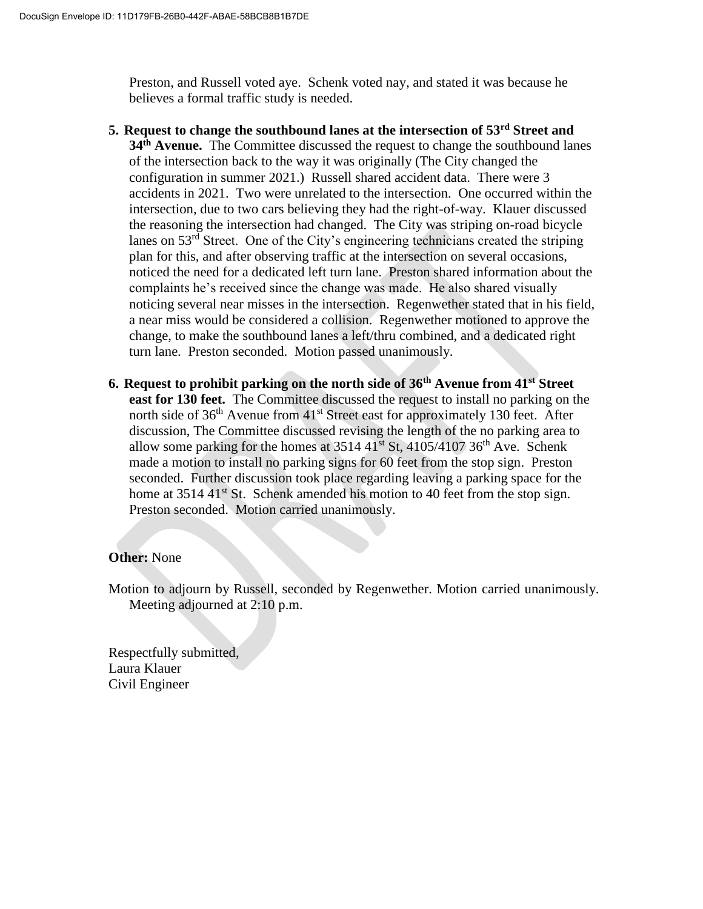Preston, and Russell voted aye. Schenk voted nay, and stated it was because he believes a formal traffic study is needed.

- **5. Request to change the southbound lanes at the intersection of 53rd Street and 34th Avenue.** The Committee discussed the request to change the southbound lanes of the intersection back to the way it was originally (The City changed the configuration in summer 2021.) Russell shared accident data. There were 3 accidents in 2021. Two were unrelated to the intersection. One occurred within the intersection, due to two cars believing they had the right-of-way. Klauer discussed the reasoning the intersection had changed. The City was striping on-road bicycle lanes on 53rd Street. One of the City's engineering technicians created the striping plan for this, and after observing traffic at the intersection on several occasions, noticed the need for a dedicated left turn lane. Preston shared information about the complaints he's received since the change was made. He also shared visually noticing several near misses in the intersection. Regenwether stated that in his field, a near miss would be considered a collision. Regenwether motioned to approve the change, to make the southbound lanes a left/thru combined, and a dedicated right turn lane. Preston seconded. Motion passed unanimously.
- **6. Request to prohibit parking on the north side of 36th Avenue from 41st Street east for 130 feet.** The Committee discussed the request to install no parking on the north side of  $36<sup>th</sup>$  Avenue from  $41<sup>st</sup>$  Street east for approximately 130 feet. After discussion, The Committee discussed revising the length of the no parking area to allow some parking for the homes at  $3514 \frac{41}{1}$  St,  $4105/4107 \frac{36}{1}$  Ave. Schenk made a motion to install no parking signs for 60 feet from the stop sign. Preston seconded. Further discussion took place regarding leaving a parking space for the home at 3514 41<sup>st</sup> St. Schenk amended his motion to 40 feet from the stop sign. Preston seconded. Motion carried unanimously.

## **Other:** None

Motion to adjourn by Russell, seconded by Regenwether. Motion carried unanimously. Meeting adjourned at 2:10 p.m.

Respectfully submitted, Laura Klauer Civil Engineer